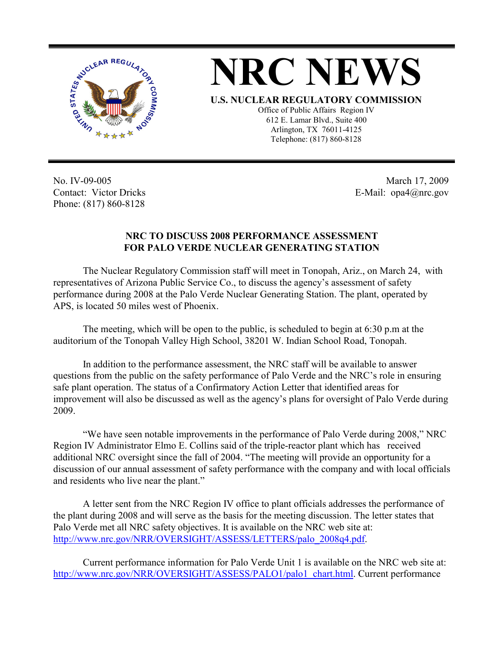

## **NRC NEWS**

**U.S. NUCLEAR REGULATORY COMMISSION**

Office of Public Affairs Region IV 612 E. Lamar Blvd., Suite 400 Arlington, TX 76011-4125 Telephone: (817) 860-8128

No. IV-09-005 Contact: Victor Dricks Phone: (817) 860-8128

 March 17, 2009 E-Mail: opa4@nrc.gov

## **NRC TO DISCUSS 2008 PERFORMANCE ASSESSMENT FOR PALO VERDE NUCLEAR GENERATING STATION**

 The Nuclear Regulatory Commission staff will meet in Tonopah, Ariz., on March 24, with representatives of Arizona Public Service Co., to discuss the agency's assessment of safety performance during 2008 at the Palo Verde Nuclear Generating Station. The plant, operated by APS, is located 50 miles west of Phoenix.

 The meeting, which will be open to the public, is scheduled to begin at 6:30 p.m at the auditorium of the Tonopah Valley High School, 38201 W. Indian School Road, Tonopah.

 In addition to the performance assessment, the NRC staff will be available to answer questions from the public on the safety performance of Palo Verde and the NRC's role in ensuring safe plant operation. The status of a Confirmatory Action Letter that identified areas for improvement will also be discussed as well as the agency's plans for oversight of Palo Verde during 2009.

 "We have seen notable improvements in the performance of Palo Verde during 2008," NRC Region IV Administrator Elmo E. Collins said of the triple-reactor plant which has received additional NRC oversight since the fall of 2004. "The meeting will provide an opportunity for a discussion of our annual assessment of safety performance with the company and with local officials and residents who live near the plant."

 A letter sent from the NRC Region IV office to plant officials addresses the performance of the plant during 2008 and will serve as the basis for the meeting discussion. The letter states that Palo Verde met all NRC safety objectives. It is available on the NRC web site at: http://www.nrc.gov/NRR/OVERSIGHT/ASSESS/LETTERS/palo\_2008q4.pdf.

Current performance information for Palo Verde Unit 1 is available on the NRC web site at: http://www.nrc.gov/NRR/OVERSIGHT/ASSESS/PALO1/palo1\_chart.html. Current performance